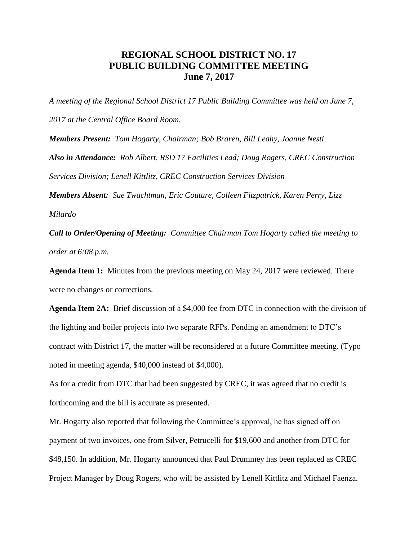## **REGIONAL SCHOOL DISTRICT NO. 17 PUBLIC BUILDING COMMITTEE MEETING June 7, 2017**

*A meeting of the Regional School District 17 Public Building Committee was held on June 7, 2017 at the Central Office Board Room.*

*Members Present: Tom Hogarty, Chairman; Bob Braren, Bill Leahy, Joanne Nesti Also in Attendance: Rob Albert, RSD 17 Facilities Lead; Doug Rogers, CREC Construction Services Division; Lenell Kittlitz, CREC Construction Services Division*

*Members Absent: Sue Twachtman, Eric Couture, Colleen Fitzpatrick, Karen Perry, Lizz Milardo*

*Call to Order/Opening of Meeting: Committee Chairman Tom Hogarty called the meeting to order at 6:08 p.m.* 

**Agenda Item 1:** Minutes from the previous meeting on May 24, 2017 were reviewed. There were no changes or corrections.

**Agenda Item 2A:** Brief discussion of a \$4,000 fee from DTC in connection with the division of the lighting and boiler projects into two separate RFPs. Pending an amendment to DTC's contract with District 17, the matter will be reconsidered at a future Committee meeting. (Typo noted in meeting agenda, \$40,000 instead of \$4,000).

As for a credit from DTC that had been suggested by CREC, it was agreed that no credit is forthcoming and the bill is accurate as presented.

Mr. Hogarty also reported that following the Committee's approval, he has signed off on payment of two invoices, one from Silver, Petrucelli for \$19,600 and another from DTC for \$48,150. In addition, Mr. Hogarty announced that Paul Drummey has been replaced as CREC Project Manager by Doug Rogers, who will be assisted by Lenell Kittlitz and Michael Faenza.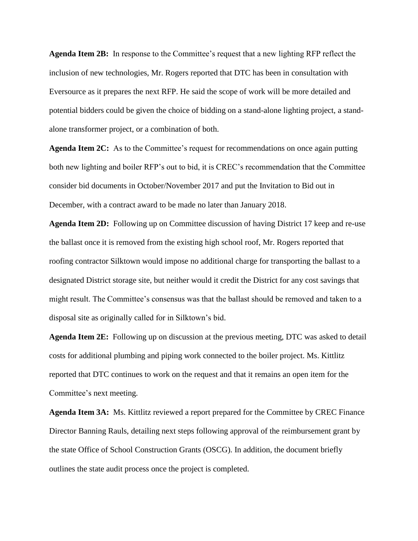**Agenda Item 2B:** In response to the Committee's request that a new lighting RFP reflect the inclusion of new technologies, Mr. Rogers reported that DTC has been in consultation with Eversource as it prepares the next RFP. He said the scope of work will be more detailed and potential bidders could be given the choice of bidding on a stand-alone lighting project, a standalone transformer project, or a combination of both.

**Agenda Item 2C:** As to the Committee's request for recommendations on once again putting both new lighting and boiler RFP's out to bid, it is CREC's recommendation that the Committee consider bid documents in October/November 2017 and put the Invitation to Bid out in December, with a contract award to be made no later than January 2018.

**Agenda Item 2D:** Following up on Committee discussion of having District 17 keep and re-use the ballast once it is removed from the existing high school roof, Mr. Rogers reported that roofing contractor Silktown would impose no additional charge for transporting the ballast to a designated District storage site, but neither would it credit the District for any cost savings that might result. The Committee's consensus was that the ballast should be removed and taken to a disposal site as originally called for in Silktown's bid.

**Agenda Item 2E:** Following up on discussion at the previous meeting, DTC was asked to detail costs for additional plumbing and piping work connected to the boiler project. Ms. Kittlitz reported that DTC continues to work on the request and that it remains an open item for the Committee's next meeting.

**Agenda Item 3A:** Ms. Kittlitz reviewed a report prepared for the Committee by CREC Finance Director Banning Rauls, detailing next steps following approval of the reimbursement grant by the state Office of School Construction Grants (OSCG). In addition, the document briefly outlines the state audit process once the project is completed.